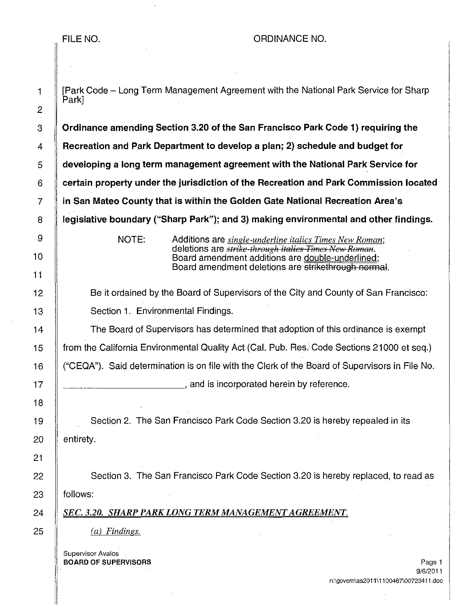2

9

10

11

18

21

FILE NO. A REPORT OF DIMANCE NO.

1 **Fark Code - Long Term Management Agreement with the National Park Service for Sharp** Park] 3 Crdinance amending Section 3.20 of the San Francisco Park Code 1) requiring the 4 Recreation and Park Department to develop a plan; 2) schedule and budget for 5 developing a long term management agreement with the National Park Service for 6 certain property under the jurisdiction of the Recreation and Park Commission located 7 in San Mateo County that is within the Golden Gate National Recreation Area's 8 **legislative boundary ("Sharp Park"); and 3) making environmental and other findings.** NOTE: Additions are *single-underline italics Times New Roman;*  deletions are *strike-through italics Times New Roman*. Board amendment additions are double-underlined; Board amendment deletions are strikethrough normal. 12 **Be it ordained by the Board of Supervisors of the City and County of San Francisco:** 13 | Section 1. Environmental Findings. 14 The Board of Supervisors has determined that adoption of this ordinance is exempt 15 **from the California Environmental Quality Act (Cal. Pub. Res.** Code Sections 21000 et seq.) 16 ("CEQA"). Said determination is on file with the Clerk of the Board of Supervisors in File No. 17 |  $\parallel$ 19 **Section 2.** The San Francisco Park Code Section 3.20 is hereby repealed in its 20 || entirety. 22 Section 3. The San Francisco Park Code Section 3.20 is hereby replaced, to read as  $23$  | follows: *24 SEC. 3.20. SHARP PARK LONG TERM MANAGEMENT AGREEMENT.*   $25 \parallel$  *(a) Findings.* Supervisor Avalos **BOARD OF SUPERVISORS** Page 1 2008 12:00 Page 1 2008 12:00 Page 1 2008 12:00 Page 1 9/6/2011 n:\govern\as2011 \11 00467\00723411.doc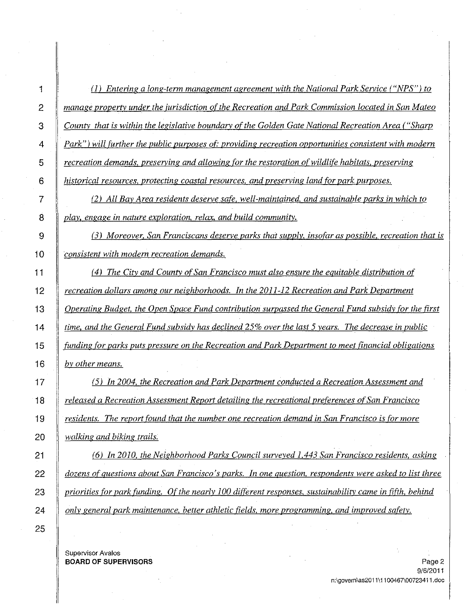1 (J) *Entering a long-term management agreement with the National Park Service ("NPS") to*  2 *manage property under the jurisdiction ofthe Recreation and Park Commission located in San Mateo 3 County that is within the legislative boundary ofthe Golden Gate National Recreation Area ("Sharp 4 Park"*) *will further the public purposes of: providing recreation opportunities consistent with modern 5 recreation demands, preserving and allowing for the restoration of wildlife habitats, preserving 6 historical resources, protecting coastal resources, and preserving land for park purposes.* 

7 (2) *All Bay Area residents deserve safe, well-maintained, and sustainable parks in which to 8 play, engage in nature exploration, relax, and build community.* 

9 (3) *Moreover, San Franciscans deserve parks that supply, insofar as possible, recreation that is*  10 *consistent with modern recreation demands.* 

11 (4) *The City and County of San Francisco must also ensure the equitable distribution of recreation dollars among our neighborhoods. In the 2011-12 Recreation and Park Department Operating Budget, the Open Space Fund contribution surpassed the General Fund subsidy for the first time, and the General Fund subsidy has declined* 25% *over the last* 5 *years. The decrease in public funding for parks puts pressure on the Recreation and Park Department to meet financial obligations bv other means.* 

17 (5) *In 2004, the Recreation and Park Department conducted a Recreation Assessment and*  18 *released a Recreation Assessment Report detailing the recreational preferences of San Francisco*  19 *residents. The report found that the number one recreation demand in San Francisco is for more 20 walking and biking trails.* 

21 (6) *In 2010, the Neighborhood Parks Council surveyed* 1.443 *San Francisco residents, asking*  22 *dozens* of *questions about San Francisco's parks. In one question, respondents were asked to list three*  23 *priorities for park funding. Of the nearly 100 different responses, sustainability came in fifth, behind 24 only general park maintenance, better athletic fields, more programming, and improved safety.* 

Supervisor Avalos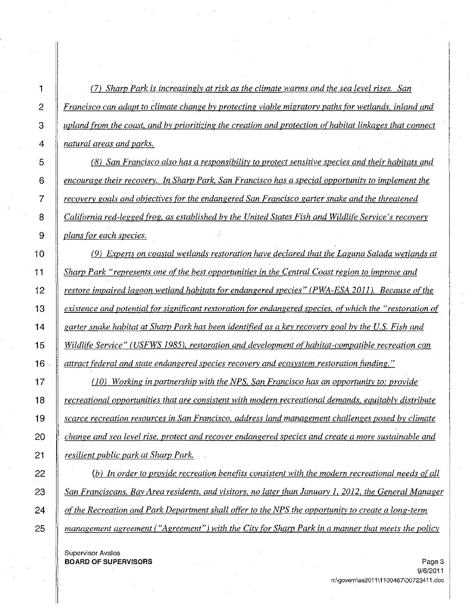1 (71 *Sharp Park is increasinglv at risk as the climate warms and the sea level rises. San 2 Francisco can adapt to climate change by protecting viable migratory paths for wetlands, inland and 3 upland from the coast. and by prioritizing the creation and protection of habitat linkages that connect 4 natural areas and parks.*  5 (8 I *San Francisco also has a responsibility to protect sensitive species and their habitats and 6 encourage their recovery. In Sharp Park, San Francisco has a special opportunity to implement the 7 recovery goals and objectives for the endangered San Francisco garter snake and the threatened 8 California red-legged frog, as established by the United States Fish and Wildlife Service's recovery 9 plans for each species.*  10 **1** (9) Experts on coastal wetlands restoration have declared that the Laguna Salada wetlands at 11 *Sharp Park "represents one ofthe best opportunities in the Central Coast region to improve and 12 restore impaired lagoon wetland habitats for endangered species" (PWA-ESA 2011* I. *Because ofthe 13 existence and potential for significant restoration for endangered species, of which the "restoration of 14 garter snake habitat at Sharp Park has been identified as a key recovery goal by the U.S. Fish and*  **15** Wildlife Service" (USFWS 1985), restoration and development of habitat-compatible recreation can *16 attract federal and state endangered species recovery and ecosystem restoration funding.* " *17 (101 Working in partnership with the NPS, San Francisco has an opportunity to: provide 18 recreational opportunities that are consistent with modern recreational demands, equitably distribute 19 scarce recreation resources in San Francisco, address land management challenges posed by climate 20 change and sea level rise, protect and recover endangered species and create a more sustainable and 21 resilient public park at Sharp Park.*  22 (b) In order to provide recreation benefits consistent with the modern recreational needs of all *23 San Franciscans, Bay Area residents, and visitors. no later than January 1,2012, the General Manager 24 ofthe Recreation and Park Department shall offer to the NPS the opportunity to create a long-term 25 management agreement ("Agreement"* I *with the City for Sharp Park in a manner that meets the policy* 

**Supervisor Avalos BOARD OF SUPERVISORS** Page 3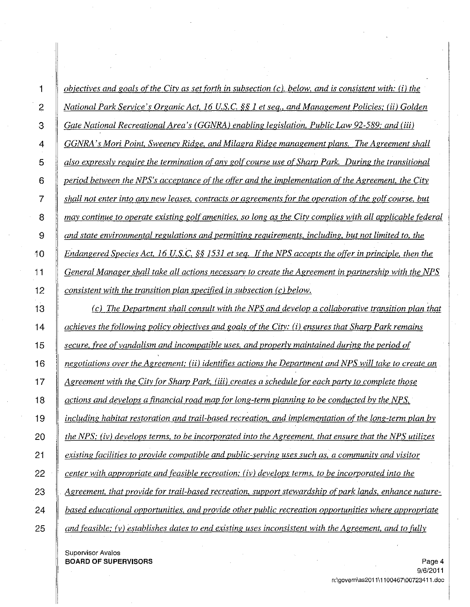1 *objectives and goals of the City as set forth in subsection (c), below, and is consistent with:* (i) *the 2 National Park Service's Organic Act,* 16 U.s.c. §§ 1 *et seq., and Management Policies; (ii) Golden 3 Gate National Recreational Area's (GGNRA) enabling legislation. Public Law* 92-589; *and (iii)*  4 *GGNRA's Mori Point, Sweeney Ridge, and MUagra Ridge management plans. The Agreement shall 5 also expressly require the termination of any golf course use of Sharp Park. During the transitional 6 period between the NPS's acceptance ofthe offer and the implementation ofthe Agreement. the City 7 shall not enter into any new leases, contracts or agreements for the operation ofthe golf course, but 8 may continue to operate existing golf amenities, so long as the City complies with all applicable federal 9 and state environmental regulations and permitting requirements, including, but not limited to, the 10 Endangered Species Act,* 16 *U.S.* C. §§ 1531 *et seq. Ifthe NPS accepts the offer in principle, then the*  11 *General Manager shall take all actions necessarv to create the Agreement in partnership with the NPS 12 consistent with the transition plan specified in subsection (c) below.* 

*13 (c) The Department shall consult with the NPS and develop a collaborative transition plan that*  14 *achieves the following policy objectives and goals ofthe City:* (i) *ensures that Sharp Park remains 15 secure, free of vandalism and incompatible uses, and properly maintained during the period of 16 negotiations over the Agreement; (ii) identifies actions the Department and NPS will take to create an 17 Agreement with the City for Sharp Park, (iii) creates a schedule for each party to complete those 18 actions and develops a financial road map for long-term planning to be conducted by the NPS, 19 including habitat restoration and trail-based recreation, and implementation of the long-term plan by 20 the NPS; (iv) develops terms, to be incorporated into the Agreement, that ensure that the NPS utilizes 21 existing facilities to provide compatible and public-serving uses such as, a community and visitor 22 center with appropriate and feasible recreation; (iv) develops terms, to be incorporated into the 23 Agreement, that provide for trail-based recreation. support stewardship of park lands, enhance nature-24 based educational opportunities, and provide other public recreation opportunities where appropriate 25 and feasible; (v) establishes dates to end existing uses inconsistent with the Agreement, and to fully* 

Supervisor Avalos